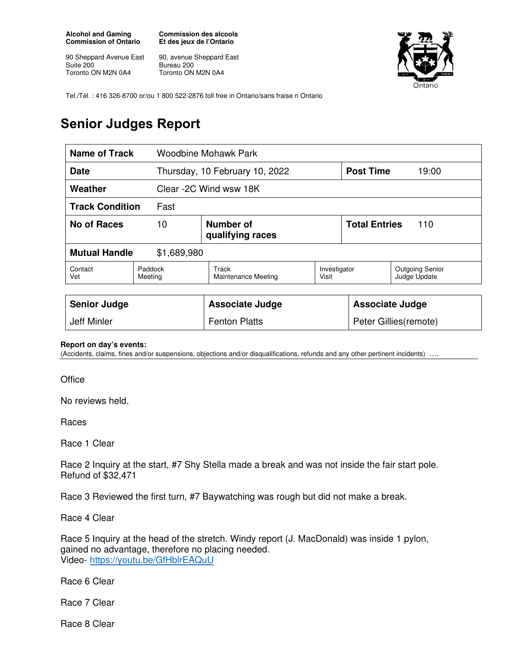**Alcohol and Gaming Commission of Ontario** 

90 Sheppard Avenue East Suite 200 Toronto ON M2N 0A4

**Commission des alcools Et des jeux de l'Ontario** 

90, avenue Sheppard East Bureau 200 Toronto ON M2N 0A4



Tel./Tél. : 416 326-8700 or/ou 1 800 522-2876 toll free in Ontario/sans fraise n Ontario

## **Senior Judges Report**

| Name of Track                       |                    | Woodbine Mohawk Park           |                       |                        |                                        |  |
|-------------------------------------|--------------------|--------------------------------|-----------------------|------------------------|----------------------------------------|--|
| <b>Date</b>                         |                    | Thursday, 10 February 10, 2022 |                       | <b>Post Time</b>       | 19:00                                  |  |
| Weather                             |                    | Clear -2C Wind wsw 18K         |                       |                        |                                        |  |
| <b>Track Condition</b><br>Fast      |                    |                                |                       |                        |                                        |  |
| <b>No of Races</b><br>10            |                    | Number of<br>qualifying races  |                       |                        | <b>Total Entries</b><br>110            |  |
| <b>Mutual Handle</b><br>\$1,689,980 |                    |                                |                       |                        |                                        |  |
| Contact<br>Vet                      | Paddock<br>Meeting | Track<br>Maintenance Meeting   | Investigator<br>Visit |                        | <b>Outgoing Senior</b><br>Judge Update |  |
|                                     |                    |                                |                       |                        |                                        |  |
| <b>Senior Judge</b>                 |                    | <b>Associate Judge</b>         |                       | <b>Associate Judge</b> |                                        |  |
| Jeff Minler                         |                    | <b>Fenton Platts</b>           |                       | Peter Gillies (remote) |                                        |  |

## **Report on day's events:**

(Accidents, claims, fines and/or suspensions, objections and/or disqualifications, refunds and any other pertinent incidents) ….

**Office** 

No reviews held.

Races

Race 1 Clear

Race 2 Inquiry at the start, #7 Shy Stella made a break and was not inside the fair start pole. Refund of \$32,471

Race 3 Reviewed the first turn, #7 Baywatching was rough but did not make a break.

Race 4 Clear

Race 5 Inquiry at the head of the stretch. Windy report (J. MacDonald) was inside 1 pylon, gained no advantage, therefore no placing needed. Video- https://youtu.be/GfHblrEAQuU

Race 6 Clear

Race 7 Clear

Race 8 Clear